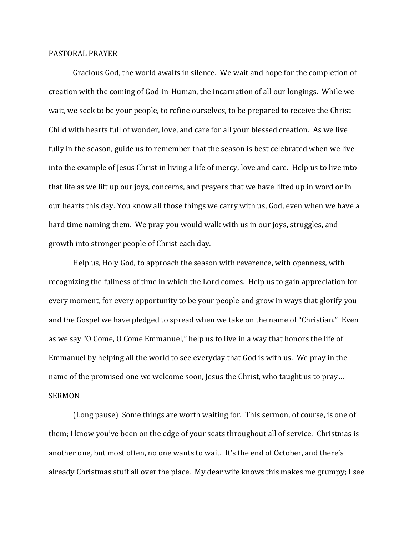## PASTORAL PRAYER

Gracious God, the world awaits in silence. We wait and hope for the completion of creation with the coming of God-in-Human, the incarnation of all our longings. While we wait, we seek to be your people, to refine ourselves, to be prepared to receive the Christ Child with hearts full of wonder, love, and care for all your blessed creation. As we live fully in the season, guide us to remember that the season is best celebrated when we live into the example of Jesus Christ in living a life of mercy, love and care. Help us to live into that life as we lift up our joys, concerns, and prayers that we have lifted up in word or in our hearts this day. You know all those things we carry with us, God, even when we have a hard time naming them. We pray you would walk with us in our joys, struggles, and growth into stronger people of Christ each day.

Help us, Holy God, to approach the season with reverence, with openness, with recognizing the fullness of time in which the Lord comes. Help us to gain appreciation for every moment, for every opportunity to be your people and grow in ways that glorify you and the Gospel we have pledged to spread when we take on the name of "Christian." Even as we say "O Come, O Come Emmanuel," help us to live in a way that honors the life of Emmanuel by helping all the world to see everyday that God is with us. We pray in the name of the promised one we welcome soon, Jesus the Christ, who taught us to pray... SERMON

(Long pause) Some things are worth waiting for. This sermon, of course, is one of them; I know you've been on the edge of your seats throughout all of service. Christmas is another one, but most often, no one wants to wait. It's the end of October, and there's already Christmas stuff all over the place. My dear wife knows this makes me grumpy; I see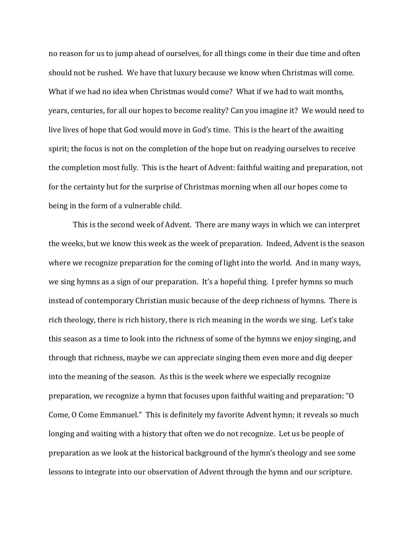no reason for us to jump ahead of ourselves, for all things come in their due time and often should not be rushed. We have that luxury because we know when Christmas will come. What if we had no idea when Christmas would come? What if we had to wait months, years, centuries, for all our hopes to become reality? Can you imagine it? We would need to live lives of hope that God would move in God's time. This is the heart of the awaiting spirit; the focus is not on the completion of the hope but on readying ourselves to receive the completion most fully. This is the heart of Advent: faithful waiting and preparation, not for the certainty but for the surprise of Christmas morning when all our hopes come to being in the form of a vulnerable child.

This is the second week of Advent. There are many ways in which we can interpret the weeks, but we know this week as the week of preparation. Indeed, Advent is the season where we recognize preparation for the coming of light into the world. And in many ways, we sing hymns as a sign of our preparation. It's a hopeful thing. I prefer hymns so much instead of contemporary Christian music because of the deep richness of hymns. There is rich theology, there is rich history, there is rich meaning in the words we sing. Let's take this season as a time to look into the richness of some of the hymns we enjoy singing, and through that richness, maybe we can appreciate singing them even more and dig deeper into the meaning of the season. As this is the week where we especially recognize preparation, we recognize a hymn that focuses upon faithful waiting and preparation: "O Come, O Come Emmanuel." This is definitely my favorite Advent hymn; it reveals so much longing and waiting with a history that often we do not recognize. Let us be people of preparation as we look at the historical background of the hymn's theology and see some lessons to integrate into our observation of Advent through the hymn and our scripture.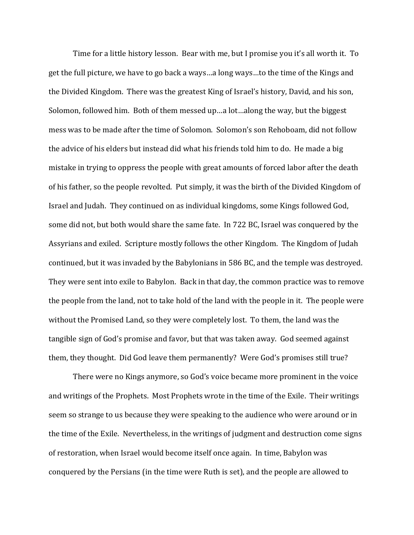Time for a little history lesson. Bear with me, but I promise you it's all worth it. To get the full picture, we have to go back a ways…a long ways…to the time of the Kings and the Divided Kingdom. There was the greatest King of Israel's history, David, and his son, Solomon, followed him. Both of them messed up…a lot…along the way, but the biggest mess was to be made after the time of Solomon. Solomon's son Rehoboam, did not follow the advice of his elders but instead did what his friends told him to do. He made a big mistake in trying to oppress the people with great amounts of forced labor after the death of his father, so the people revolted. Put simply, it was the birth of the Divided Kingdom of Israel and Judah. They continued on as individual kingdoms, some Kings followed God, some did not, but both would share the same fate. In 722 BC, Israel was conquered by the Assyrians and exiled. Scripture mostly follows the other Kingdom. The Kingdom of Judah continued, but it was invaded by the Babylonians in 586 BC, and the temple was destroyed. They were sent into exile to Babylon. Back in that day, the common practice was to remove the people from the land, not to take hold of the land with the people in it. The people were without the Promised Land, so they were completely lost. To them, the land was the tangible sign of God's promise and favor, but that was taken away. God seemed against them, they thought. Did God leave them permanently? Were God's promises still true?

There were no Kings anymore, so God's voice became more prominent in the voice and writings of the Prophets. Most Prophets wrote in the time of the Exile. Their writings seem so strange to us because they were speaking to the audience who were around or in the time of the Exile. Nevertheless, in the writings of judgment and destruction come signs of restoration, when Israel would become itself once again. In time, Babylon was conquered by the Persians (in the time were Ruth is set), and the people are allowed to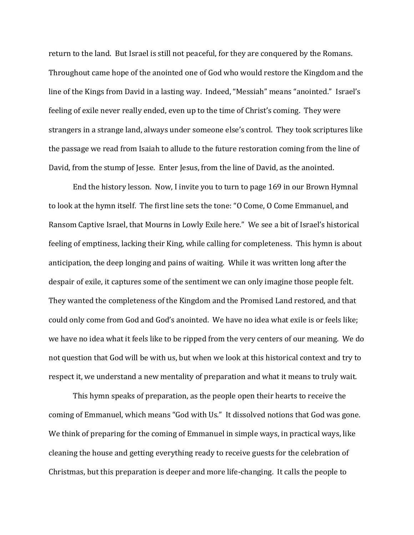return to the land. But Israel is still not peaceful, for they are conquered by the Romans. Throughout came hope of the anointed one of God who would restore the Kingdom and the line of the Kings from David in a lasting way. Indeed, "Messiah" means "anointed." Israel's feeling of exile never really ended, even up to the time of Christ's coming. They were strangers in a strange land, always under someone else's control. They took scriptures like the passage we read from Isaiah to allude to the future restoration coming from the line of David, from the stump of Jesse. Enter Jesus, from the line of David, as the anointed.

End the history lesson. Now, I invite you to turn to page 169 in our Brown Hymnal to look at the hymn itself. The first line sets the tone: "O Come, O Come Emmanuel, and Ransom Captive Israel, that Mourns in Lowly Exile here." We see a bit of Israel's historical feeling of emptiness, lacking their King, while calling for completeness. This hymn is about anticipation, the deep longing and pains of waiting. While it was written long after the despair of exile, it captures some of the sentiment we can only imagine those people felt. They wanted the completeness of the Kingdom and the Promised Land restored, and that could only come from God and God's anointed. We have no idea what exile is or feels like; we have no idea what it feels like to be ripped from the very centers of our meaning. We do not question that God will be with us, but when we look at this historical context and try to respect it, we understand a new mentality of preparation and what it means to truly wait.

This hymn speaks of preparation, as the people open their hearts to receive the coming of Emmanuel, which means "God with Us." It dissolved notions that God was gone. We think of preparing for the coming of Emmanuel in simple ways, in practical ways, like cleaning the house and getting everything ready to receive guests for the celebration of Christmas, but this preparation is deeper and more life-changing. It calls the people to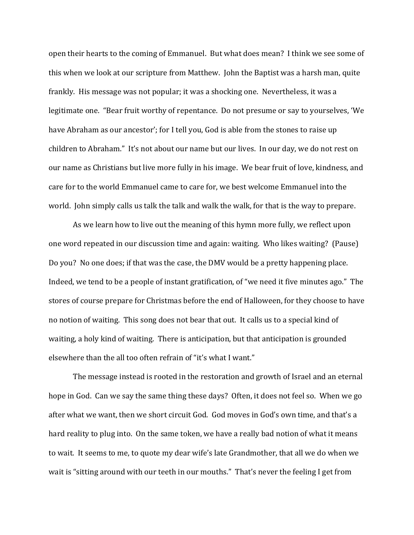open their hearts to the coming of Emmanuel. But what does mean? I think we see some of this when we look at our scripture from Matthew. John the Baptist was a harsh man, quite frankly. His message was not popular; it was a shocking one. Nevertheless, it was a legitimate one. "Bear fruit worthy of repentance. Do not presume or say to yourselves, 'We have Abraham as our ancestor'; for I tell you, God is able from the stones to raise up children to Abraham." It's not about our name but our lives. In our day, we do not rest on our name as Christians but live more fully in his image. We bear fruit of love, kindness, and care for to the world Emmanuel came to care for, we best welcome Emmanuel into the world. John simply calls us talk the talk and walk the walk, for that is the way to prepare.

As we learn how to live out the meaning of this hymn more fully, we reflect upon one word repeated in our discussion time and again: waiting. Who likes waiting? (Pause) Do you? No one does; if that was the case, the DMV would be a pretty happening place. Indeed, we tend to be a people of instant gratification, of "we need it five minutes ago." The stores of course prepare for Christmas before the end of Halloween, for they choose to have no notion of waiting. This song does not bear that out. It calls us to a special kind of waiting, a holy kind of waiting. There is anticipation, but that anticipation is grounded elsewhere than the all too often refrain of "it's what I want."

The message instead is rooted in the restoration and growth of Israel and an eternal hope in God. Can we say the same thing these days? Often, it does not feel so. When we go after what we want, then we short circuit God. God moves in God's own time, and that's a hard reality to plug into. On the same token, we have a really bad notion of what it means to wait. It seems to me, to quote my dear wife's late Grandmother, that all we do when we wait is "sitting around with our teeth in our mouths." That's never the feeling I get from